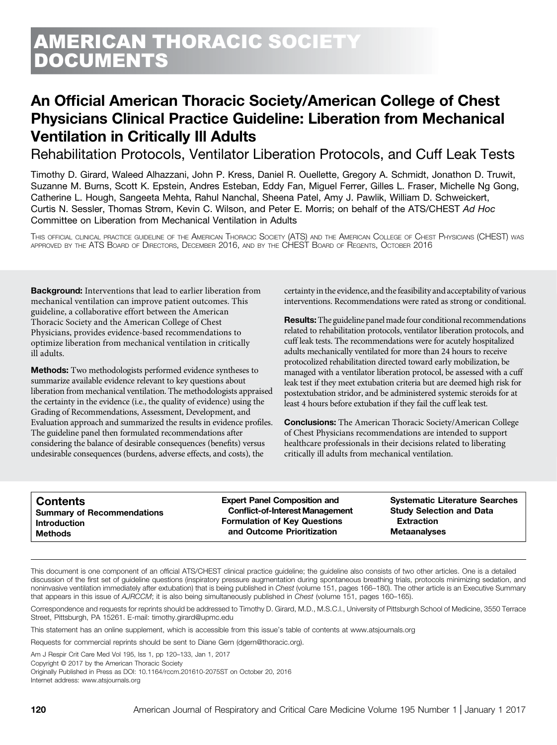# An Official American Thoracic Society/American College of Chest Physicians Clinical Practice Guideline: Liberation from Mechanical Ventilation in Critically Ill Adults

Rehabilitation Protocols, Ventilator Liberation Protocols, and Cuff Leak Tests

Timothy D. Girard, Waleed Alhazzani, John P. Kress, Daniel R. Ouellette, Gregory A. Schmidt, Jonathon D. Truwit, Suzanne M. Burns, Scott K. Epstein, Andres Esteban, Eddy Fan, Miguel Ferrer, Gilles L. Fraser, Michelle Ng Gong, Catherine L. Hough, Sangeeta Mehta, Rahul Nanchal, Sheena Patel, Amy J. Pawlik, William D. Schweickert, Curtis N. Sessler, Thomas Strøm, Kevin C. Wilson, and Peter E. Morris; on behalf of the ATS/CHEST Ad Hoc Committee on Liberation from Mechanical Ventilation in Adults

THIS OFFICIAL CLINICAL PRACTICE GUIDELINE OF THE AMERICAN THORACIC SOCIETY (ATS) AND THE AMERICAN COLLEGE OF CHEST PHYSICIANS (CHEST) WAS APPROVED BY THE ATS BOARD OF DIRECTORS, DECEMBER 2016, AND BY THE CHEST BOARD OF REGENTS, OCTOBER 2016

Background: Interventions that lead to earlier liberation from mechanical ventilation can improve patient outcomes. This guideline, a collaborative effort between the American Thoracic Society and the American College of Chest Physicians, provides evidence-based recommendations to optimize liberation from mechanical ventilation in critically ill adults.

Methods: Two methodologists performed evidence syntheses to summarize available evidence relevant to key questions about liberation from mechanical ventilation. The methodologists appraised the certainty in the evidence (i.e., the quality of evidence) using the Grading of Recommendations, Assessment, Development, and Evaluation approach and summarized the results in evidence profiles. The guideline panel then formulated recommendations after considering the balance of desirable consequences (benefits) versus undesirable consequences (burdens, adverse effects, and costs), the

certainty in the evidence, and thefeasibility and acceptability of various interventions. Recommendations were rated as strong or conditional.

Results: The guideline panel made four conditional recommendations related to rehabilitation protocols, ventilator liberation protocols, and cuff leak tests. The recommendations were for acutely hospitalized adults mechanically ventilated for more than 24 hours to receive protocolized rehabilitation directed toward early mobilization, be managed with a ventilator liberation protocol, be assessed with a cuff leak test if they meet extubation criteria but are deemed high risk for postextubation stridor, and be administered systemic steroids for at least 4 hours before extubation if they fail the cuff leak test.

Conclusions: The American Thoracic Society/American College of Chest Physicians recommendations are intended to support healthcare professionals in their decisions related to liberating critically ill adults from mechanical ventilation.

This document is one component of an official ATS/CHEST clinical practice guideline; the guideline also consists of two other articles. One is a detailed discussion of the first set of guideline questions (inspiratory pressure augmentation during spontaneous breathing trials, protocols minimizing sedation, and noninvasive ventilation immediately after extubation) that is being published in Chest (volume 151, pages 166–180). The other article is an Executive Summary that appears in this issue of AJRCCM; it is also being simultaneously published in Chest (volume 151, pages 160–165).

Correspondence and requests for reprints should be addressed to Timothy D. Girard, M.D., M.S.C.I., University of Pittsburgh School of Medicine, 3550 Terrace Street, Pittsburgh, PA 15261. E-mail: [timothy.girard@upmc.edu](mailto:timothy.girard@upmc.edu)

This statement has an online supplement, which is accessible from this issue's table of contents at [www.atsjournals.org](http://www.atsjournals.org)

Requests for commercial reprints should be sent to Diane Gern [\(dgern@thoracic.org\)](mailto:dgern@thoracic.org).

Am J Respir Crit Care Med Vol 195, Iss 1, pp 120–133, Jan 1, 2017

Copyright © 2017 by the American Thoracic Society

Originally Published in Press as DOI: [10.1164/rccm.201610-2075ST](http://dx.doi.org/10.1164/rccm.201610-2075ST) on October 20, 2016 Internet address: [www.atsjournals.org](http://www.atsjournals.org)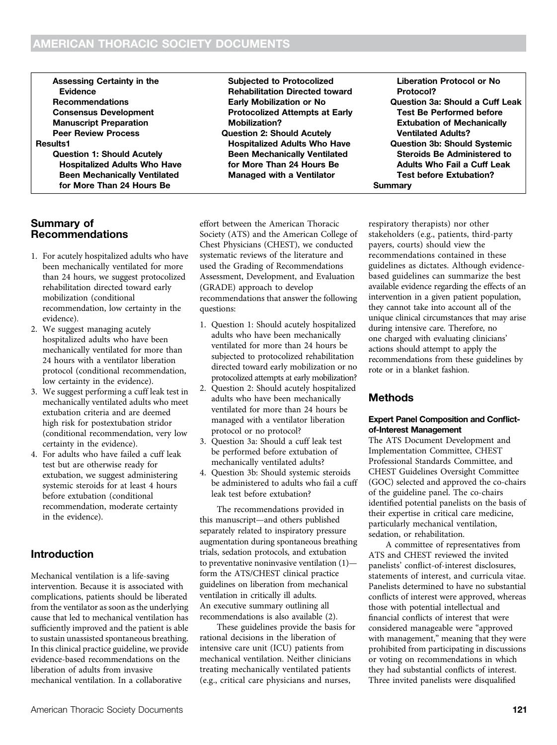Assessing Certainty in the Evidence Recommendations Consensus Development Manuscript Preparation Peer Review Process Results1 Question 1: Should Acutely Hospitalized Adults Who Have Been Mechanically Ventilated for More Than 24 Hours Be

### Summary of Recommendations

- 1. For acutely hospitalized adults who have been mechanically ventilated for more than 24 hours, we suggest protocolized rehabilitation directed toward early mobilization (conditional recommendation, low certainty in the evidence).
- 2. We suggest managing acutely hospitalized adults who have been mechanically ventilated for more than 24 hours with a ventilator liberation protocol (conditional recommendation, low certainty in the evidence).
- 3. We suggest performing a cuff leak test in mechanically ventilated adults who meet extubation criteria and are deemed high risk for postextubation stridor (conditional recommendation, very low certainty in the evidence).
- 4. For adults who have failed a cuff leak test but are otherwise ready for extubation, we suggest administering systemic steroids for at least 4 hours before extubation (conditional recommendation, moderate certainty in the evidence).

### Introduction

Mechanical ventilation is a life-saving intervention. Because it is associated with complications, patients should be liberated from the ventilator as soon as the underlying cause that led to mechanical ventilation has sufficiently improved and the patient is able to sustain unassisted spontaneous breathing. In this clinical practice guideline, we provide evidence-based recommendations on the liberation of adults from invasive mechanical ventilation. In a collaborative

effort between the American Thoracic Society (ATS) and the American College of Chest Physicians (CHEST), we conducted systematic reviews of the literature and used the Grading of Recommendations Assessment, Development, and Evaluation (GRADE) approach to develop recommendations that answer the following questions:

Subjected to Protocolized Rehabilitation Directed toward Early Mobilization or No Protocolized Attempts at Early

Question 2: Should Acutely Hospitalized Adults Who Have Been Mechanically Ventilated for More Than 24 Hours Be Managed with a Ventilator

Mobilization?

- 1. Question 1: Should acutely hospitalized adults who have been mechanically ventilated for more than 24 hours be subjected to protocolized rehabilitation directed toward early mobilization or no protocolized attempts at early mobilization?
- 2. Question 2: Should acutely hospitalized adults who have been mechanically ventilated for more than 24 hours be managed with a ventilator liberation protocol or no protocol?
- 3. Question 3a: Should a cuff leak test be performed before extubation of mechanically ventilated adults?
- 4. Question 3b: Should systemic steroids be administered to adults who fail a cuff leak test before extubation?

The recommendations provided in this manuscript—and others published separately related to inspiratory pressure augmentation during spontaneous breathing trials, sedation protocols, and extubation to preventative noninvasive ventilation (1) form the ATS/CHEST clinical practice guidelines on liberation from mechanical ventilation in critically ill adults. An executive summary outlining all recommendations is also available (2).

These guidelines provide the basis for rational decisions in the liberation of intensive care unit (ICU) patients from mechanical ventilation. Neither clinicians treating mechanically ventilated patients (e.g., critical care physicians and nurses,

**Summary** respiratory therapists) nor other stakeholders (e.g., patients, third-party payers, courts) should view the recommendations contained in these guidelines as dictates. Although evidencebased guidelines can summarize the best available evidence regarding the effects of an intervention in a given patient population, they cannot take into account all of the unique clinical circumstances that may arise during intensive care. Therefore, no one charged with evaluating clinicians' actions should attempt to apply the recommendations from these guidelines by rote or in a blanket fashion.

Liberation Protocol or No

Ventilated Adults?

Question 3a: Should a Cuff Leak Test Be Performed before Extubation of Mechanically

Question 3b: Should Systemic Steroids Be Administered to Adults Who Fail a Cuff Leak Test before Extubation?

Protocol?

### Methods

#### Expert Panel Composition and Conflictof-Interest Management

The ATS Document Development and Implementation Committee, CHEST Professional Standards Committee, and CHEST Guidelines Oversight Committee (GOC) selected and approved the co-chairs of the guideline panel. The co-chairs identified potential panelists on the basis of their expertise in critical care medicine, particularly mechanical ventilation, sedation, or rehabilitation.

A committee of representatives from ATS and CHEST reviewed the invited panelists' conflict-of-interest disclosures, statements of interest, and curricula vitae. Panelists determined to have no substantial conflicts of interest were approved, whereas those with potential intellectual and financial conflicts of interest that were considered manageable were "approved with management," meaning that they were prohibited from participating in discussions or voting on recommendations in which they had substantial conflicts of interest. Three invited panelists were disqualified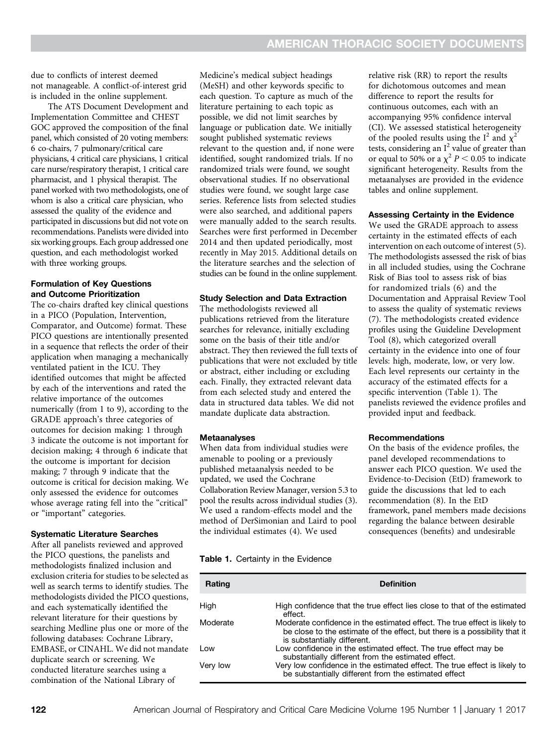due to conflicts of interest deemed not manageable. A conflict-of-interest grid is included in the online supplement.

The ATS Document Development and Implementation Committee and CHEST GOC approved the composition of the final panel, which consisted of 20 voting members: 6 co-chairs, 7 pulmonary/critical care physicians, 4 critical care physicians, 1 critical care nurse/respiratory therapist, 1 critical care pharmacist, and 1 physical therapist. The panel worked with two methodologists, one of whom is also a critical care physician, who assessed the quality of the evidence and participated in discussions but did not vote on recommendations. Panelists were divided into six working groups. Each group addressed one question, and each methodologist worked with three working groups.

#### Formulation of Key Questions and Outcome Prioritization

The co-chairs drafted key clinical questions in a PICO (Population, Intervention, Comparator, and Outcome) format. These PICO questions are intentionally presented in a sequence that reflects the order of their application when managing a mechanically ventilated patient in the ICU. They identified outcomes that might be affected by each of the interventions and rated the relative importance of the outcomes numerically (from 1 to 9), according to the GRADE approach's three categories of outcomes for decision making: 1 through 3 indicate the outcome is not important for decision making; 4 through 6 indicate that the outcome is important for decision making; 7 through 9 indicate that the outcome is critical for decision making. We only assessed the evidence for outcomes whose average rating fell into the "critical" or "important" categories.

#### Systematic Literature Searches

After all panelists reviewed and approved the PICO questions, the panelists and methodologists finalized inclusion and exclusion criteria for studies to be selected as well as search terms to identify studies. The methodologists divided the PICO questions, and each systematically identified the relevant literature for their questions by searching Medline plus one or more of the following databases: Cochrane Library, EMBASE, or CINAHL. We did not mandate duplicate search or screening. We conducted literature searches using a combination of the National Library of

Medicine's medical subject headings (MeSH) and other keywords specific to each question. To capture as much of the literature pertaining to each topic as possible, we did not limit searches by language or publication date. We initially sought published systematic reviews relevant to the question and, if none were identified, sought randomized trials. If no randomized trials were found, we sought observational studies. If no observational studies were found, we sought large case series. Reference lists from selected studies were also searched, and additional papers were manually added to the search results. Searches were first performed in December 2014 and then updated periodically, most recently in May 2015. Additional details on the literature searches and the selection of studies can be found in the online supplement.

#### Study Selection and Data Extraction

The methodologists reviewed all publications retrieved from the literature searches for relevance, initially excluding some on the basis of their title and/or abstract. They then reviewed the full texts of publications that were not excluded by title or abstract, either including or excluding each. Finally, they extracted relevant data from each selected study and entered the data in structured data tables. We did not mandate duplicate data abstraction.

#### **Metaanalyses**

When data from individual studies were amenable to pooling or a previously published metaanalysis needed to be updated, we used the Cochrane Collaboration Review Manager, version 5.3 to pool the results across individual studies (3). We used a random-effects model and the method of DerSimonian and Laird to pool the individual estimates (4). We used

relative risk (RR) to report the results for dichotomous outcomes and mean difference to report the results for continuous outcomes, each with an accompanying 95% confidence interval (CI). We assessed statistical heterogeneity of the pooled results using the  $I^2$  and  $\chi^2$ tests, considering an  $I^2$  value of greater than or equal to 50% or a  $\chi^2$   $P$  < 0.05 to indicate significant heterogeneity. Results from the metaanalyses are provided in the evidence tables and online supplement.

#### Assessing Certainty in the Evidence

We used the GRADE approach to assess certainty in the estimated effects of each intervention on each outcome of interest (5). The methodologists assessed the risk of bias in all included studies, using the Cochrane Risk of Bias tool to assess risk of bias for randomized trials (6) and the Documentation and Appraisal Review Tool to assess the quality of systematic reviews (7). The methodologists created evidence profiles using the Guideline Development Tool (8), which categorized overall certainty in the evidence into one of four levels: high, moderate, low, or very low. Each level represents our certainty in the accuracy of the estimated effects for a specific intervention (Table 1). The panelists reviewed the evidence profiles and provided input and feedback.

#### Recommendations

On the basis of the evidence profiles, the panel developed recommendations to answer each PICO question. We used the Evidence-to-Decision (EtD) framework to guide the discussions that led to each recommendation (8). In the EtD framework, panel members made decisions regarding the balance between desirable consequences (benefits) and undesirable

#### Table 1. Certainty in the Evidence

| Rating   | <b>Definition</b>                                                                                                                                                                      |
|----------|----------------------------------------------------------------------------------------------------------------------------------------------------------------------------------------|
| High     | High confidence that the true effect lies close to that of the estimated<br>effect.                                                                                                    |
| Moderate | Moderate confidence in the estimated effect. The true effect is likely to<br>be close to the estimate of the effect, but there is a possibility that it<br>is substantially different. |
| Low      | Low confidence in the estimated effect. The true effect may be<br>substantially different from the estimated effect.                                                                   |
| Very low | Very low confidence in the estimated effect. The true effect is likely to<br>be substantially different from the estimated effect                                                      |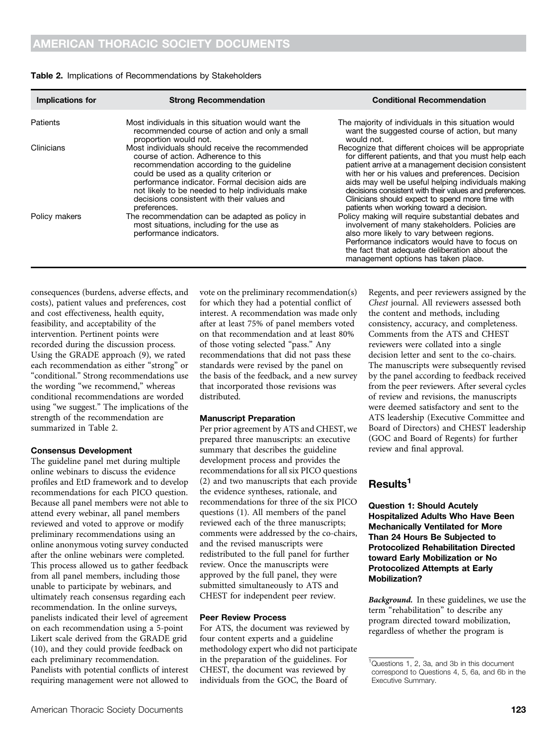| Implications for | <b>Strong Recommendation</b>                                                                                                                                                                                                                                                                                                                        | <b>Conditional Recommendation</b>                                                                                                                                                                                                                                                                                                                                                                                                      |
|------------------|-----------------------------------------------------------------------------------------------------------------------------------------------------------------------------------------------------------------------------------------------------------------------------------------------------------------------------------------------------|----------------------------------------------------------------------------------------------------------------------------------------------------------------------------------------------------------------------------------------------------------------------------------------------------------------------------------------------------------------------------------------------------------------------------------------|
| Patients         | Most individuals in this situation would want the<br>recommended course of action and only a small<br>proportion would not.                                                                                                                                                                                                                         | The majority of individuals in this situation would<br>want the suggested course of action, but many<br>would not.                                                                                                                                                                                                                                                                                                                     |
| Clinicians       | Most individuals should receive the recommended<br>course of action. Adherence to this<br>recommendation according to the guideline<br>could be used as a quality criterion or<br>performance indicator. Formal decision aids are<br>not likely to be needed to help individuals make<br>decisions consistent with their values and<br>preferences. | Recognize that different choices will be appropriate<br>for different patients, and that you must help each<br>patient arrive at a management decision consistent<br>with her or his values and preferences. Decision<br>aids may well be useful helping individuals making<br>decisions consistent with their values and preferences.<br>Clinicians should expect to spend more time with<br>patients when working toward a decision. |
| Policy makers    | The recommendation can be adapted as policy in<br>most situations, including for the use as<br>performance indicators.                                                                                                                                                                                                                              | Policy making will require substantial debates and<br>involvement of many stakeholders. Policies are<br>also more likely to vary between regions.<br>Performance indicators would have to focus on<br>the fact that adequate deliberation about the<br>management options has taken place.                                                                                                                                             |

#### Table 2. Implications of Recommendations by Stakeholders

consequences (burdens, adverse effects, and costs), patient values and preferences, cost and cost effectiveness, health equity, feasibility, and acceptability of the intervention. Pertinent points were recorded during the discussion process. Using the GRADE approach (9), we rated each recommendation as either "strong" or "conditional." Strong recommendations use the wording "we recommend," whereas conditional recommendations are worded using "we suggest." The implications of the strength of the recommendation are summarized in Table 2.

#### Consensus Development

The guideline panel met during multiple online webinars to discuss the evidence profiles and EtD framework and to develop recommendations for each PICO question. Because all panel members were not able to attend every webinar, all panel members reviewed and voted to approve or modify preliminary recommendations using an online anonymous voting survey conducted after the online webinars were completed. This process allowed us to gather feedback from all panel members, including those unable to participate by webinars, and ultimately reach consensus regarding each recommendation. In the online surveys, panelists indicated their level of agreement on each recommendation using a 5-point Likert scale derived from the GRADE grid (10), and they could provide feedback on each preliminary recommendation. Panelists with potential conflicts of interest requiring management were not allowed to vote on the preliminary recommendation(s) for which they had a potential conflict of interest. A recommendation was made only after at least 75% of panel members voted on that recommendation and at least 80% of those voting selected "pass." Any recommendations that did not pass these standards were revised by the panel on the basis of the feedback, and a new survey that incorporated those revisions was distributed.

#### Manuscript Preparation

Per prior agreement by ATS and CHEST, we prepared three manuscripts: an executive summary that describes the guideline development process and provides the recommendations for all six PICO questions (2) and two manuscripts that each provide the evidence syntheses, rationale, and recommendations for three of the six PICO questions (1). All members of the panel reviewed each of the three manuscripts; comments were addressed by the co-chairs, and the revised manuscripts were redistributed to the full panel for further review. Once the manuscripts were approved by the full panel, they were submitted simultaneously to ATS and CHEST for independent peer review.

#### Peer Review Process

For ATS, the document was reviewed by four content experts and a guideline methodology expert who did not participate in the preparation of the guidelines. For CHEST, the document was reviewed by individuals from the GOC, the Board of

Regents, and peer reviewers assigned by the Chest journal. All reviewers assessed both the content and methods, including consistency, accuracy, and completeness. Comments from the ATS and CHEST reviewers were collated into a single decision letter and sent to the co-chairs. The manuscripts were subsequently revised by the panel according to feedback received from the peer reviewers. After several cycles of review and revisions, the manuscripts were deemed satisfactory and sent to the ATS leadership (Executive Committee and Board of Directors) and CHEST leadership (GOC and Board of Regents) for further review and final approval.

### Results<sup>1</sup>

Question 1: Should Acutely Hospitalized Adults Who Have Been Mechanically Ventilated for More Than 24 Hours Be Subjected to Protocolized Rehabilitation Directed toward Early Mobilization or No Protocolized Attempts at Early Mobilization?

Background. In these guidelines, we use the term "rehabilitation" to describe any program directed toward mobilization, regardless of whether the program is

<sup>&</sup>lt;sup>1</sup>Questions 1, 2, 3a, and 3b in this document correspond to Questions 4, 5, 6a, and 6b in the Executive Summary.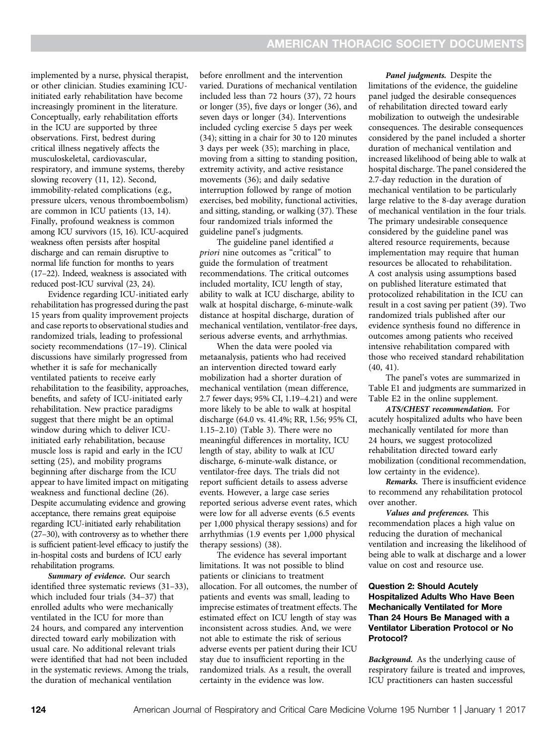implemented by a nurse, physical therapist, or other clinician. Studies examining ICUinitiated early rehabilitation have become increasingly prominent in the literature. Conceptually, early rehabilitation efforts in the ICU are supported by three observations. First, bedrest during critical illness negatively affects the musculoskeletal, cardiovascular, respiratory, and immune systems, thereby slowing recovery (11, 12). Second, immobility-related complications (e.g., pressure ulcers, venous thromboembolism) are common in ICU patients (13, 14). Finally, profound weakness is common among ICU survivors (15, 16). ICU-acquired weakness often persists after hospital discharge and can remain disruptive to normal life function for months to years (17–22). Indeed, weakness is associated with reduced post-ICU survival (23, 24).

Evidence regarding ICU-initiated early rehabilitation has progressed during the past 15 years from quality improvement projects and case reports to observational studies and randomized trials, leading to professional society recommendations (17–19). Clinical discussions have similarly progressed from whether it is safe for mechanically ventilated patients to receive early rehabilitation to the feasibility, approaches, benefits, and safety of ICU-initiated early rehabilitation. New practice paradigms suggest that there might be an optimal window during which to deliver ICUinitiated early rehabilitation, because muscle loss is rapid and early in the ICU setting (25), and mobility programs beginning after discharge from the ICU appear to have limited impact on mitigating weakness and functional decline (26). Despite accumulating evidence and growing acceptance, there remains great equipoise regarding ICU-initiated early rehabilitation (27–30), with controversy as to whether there is sufficient patient-level efficacy to justify the in-hospital costs and burdens of ICU early rehabilitation programs.

Summary of evidence. Our search identified three systematic reviews (31–33), which included four trials (34–37) that enrolled adults who were mechanically ventilated in the ICU for more than 24 hours, and compared any intervention directed toward early mobilization with usual care. No additional relevant trials were identified that had not been included in the systematic reviews. Among the trials, the duration of mechanical ventilation

before enrollment and the intervention varied. Durations of mechanical ventilation included less than 72 hours (37), 72 hours or longer (35), five days or longer (36), and seven days or longer (34). Interventions included cycling exercise 5 days per week (34); sitting in a chair for 30 to 120 minutes 3 days per week (35); marching in place, moving from a sitting to standing position, extremity activity, and active resistance movements (36); and daily sedative interruption followed by range of motion exercises, bed mobility, functional activities, and sitting, standing, or walking (37). These four randomized trials informed the guideline panel's judgments.

The guideline panel identified a priori nine outcomes as "critical" to guide the formulation of treatment recommendations. The critical outcomes included mortality, ICU length of stay, ability to walk at ICU discharge, ability to walk at hospital discharge, 6-minute-walk distance at hospital discharge, duration of mechanical ventilation, ventilator-free days, serious adverse events, and arrhythmias.

When the data were pooled via metaanalysis, patients who had received an intervention directed toward early mobilization had a shorter duration of mechanical ventilation (mean difference, 2.7 fewer days; 95% CI, 1.19–4.21) and were more likely to be able to walk at hospital discharge (64.0 vs. 41.4%; RR, 1.56; 95% CI, 1.15–2.10) (Table 3). There were no meaningful differences in mortality, ICU length of stay, ability to walk at ICU discharge, 6-minute-walk distance, or ventilator-free days. The trials did not report sufficient details to assess adverse events. However, a large case series reported serious adverse event rates, which were low for all adverse events (6.5 events per 1,000 physical therapy sessions) and for arrhythmias (1.9 events per 1,000 physical therapy sessions) (38).

The evidence has several important limitations. It was not possible to blind patients or clinicians to treatment allocation. For all outcomes, the number of patients and events was small, leading to imprecise estimates of treatment effects. The estimated effect on ICU length of stay was inconsistent across studies. And, we were not able to estimate the risk of serious adverse events per patient during their ICU stay due to insufficient reporting in the randomized trials. As a result, the overall certainty in the evidence was low.

Panel judgments. Despite the limitations of the evidence, the guideline panel judged the desirable consequences of rehabilitation directed toward early mobilization to outweigh the undesirable consequences. The desirable consequences considered by the panel included a shorter duration of mechanical ventilation and increased likelihood of being able to walk at hospital discharge. The panel considered the 2.7-day reduction in the duration of mechanical ventilation to be particularly large relative to the 8-day average duration of mechanical ventilation in the four trials. The primary undesirable consequence considered by the guideline panel was altered resource requirements, because implementation may require that human resources be allocated to rehabilitation. A cost analysis using assumptions based on published literature estimated that protocolized rehabilitation in the ICU can result in a cost saving per patient (39). Two randomized trials published after our evidence synthesis found no difference in outcomes among patients who received intensive rehabilitation compared with those who received standard rehabilitation (40, 41).

The panel's votes are summarized in Table E1 and judgments are summarized in Table E2 in the online supplement.

ATS/CHEST recommendation. For acutely hospitalized adults who have been mechanically ventilated for more than 24 hours, we suggest protocolized rehabilitation directed toward early mobilization (conditional recommendation, low certainty in the evidence).

Remarks. There is insufficient evidence to recommend any rehabilitation protocol over another.

Values and preferences. This recommendation places a high value on reducing the duration of mechanical ventilation and increasing the likelihood of being able to walk at discharge and a lower value on cost and resource use.

#### Question 2: Should Acutely Hospitalized Adults Who Have Been Mechanically Ventilated for More Than 24 Hours Be Managed with a Ventilator Liberation Protocol or No Protocol?

Background. As the underlying cause of respiratory failure is treated and improves, ICU practitioners can hasten successful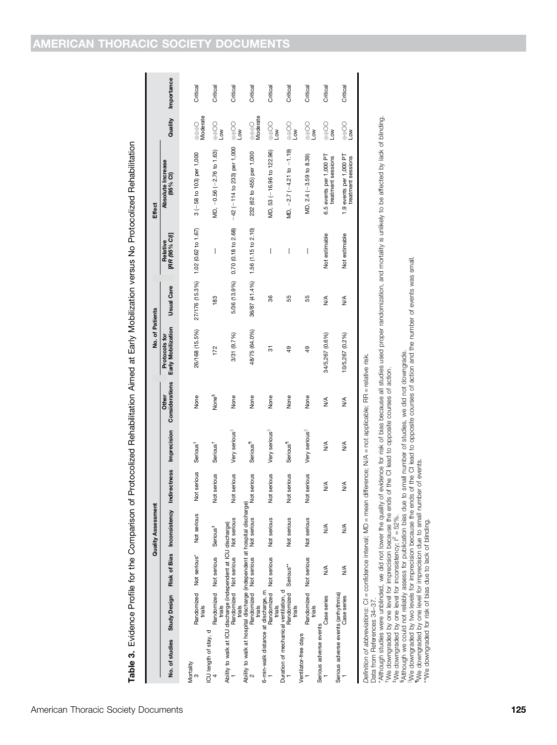Table 3. Evidence Profile for the Comparison of Protocolized Rehabilitation Aimed at Early Mobilization versus No Protocolized Rehabilitation Table 3. Evidence Profile for the Comparison of Protocolized Rehabilitation Aimed at Early Mobilization versus No Protocolized Rehabilitation

|                                                                                                                        |                                   |                        | <b>Quality Assessment</b>                                                                      |             |                      |                   | No. of Patients                     |                   |                                    | <b>Effect</b>                                 |                                                                                       |            |
|------------------------------------------------------------------------------------------------------------------------|-----------------------------------|------------------------|------------------------------------------------------------------------------------------------|-------------|----------------------|-------------------|-------------------------------------|-------------------|------------------------------------|-----------------------------------------------|---------------------------------------------------------------------------------------|------------|
|                                                                                                                        |                                   |                        | No. of studies Study Design Risk of Bias Inconsistency Indirectness Imprecision Considerations |             |                      | Other             | Early Mobilization<br>Protocols for | <b>Usual Care</b> | [RR (95% CI)]<br>Relative          | Absolute Increase<br>(95% CI)                 | Quality                                                                               | Importance |
| Mortality                                                                                                              | Randomized Not serious*<br>trials |                        | Not serious                                                                                    | Not serious | Serious <sup>†</sup> | None              | 26/168 (15.5%)                      |                   | 27/176 (15.3%) 1.02 (0.62 to 1.67) | $3(-58$ to 103) per 1,000                     | $\oplus$ $\oplus$ $\ominus$<br>Moderate                                               | Critical   |
| ICU length of stay, d                                                                                                  | trials                            | Randomized Not serious | Serious <sup>#</sup>                                                                           | Not serious | Serious <sup>†</sup> | None <sup>§</sup> | 172                                 | 183               | I                                  | MD, -0.56 (-2.76 to 1.63)                     | $\oplus\oplus\infty$<br>Low                                                           | Critical   |
| Ability to walk at ICU discharge (independent at ICU discharge)                                                        | trials                            | Randomized Not serious | Not serious                                                                                    | Not serious | Very serious         | None              | 3/31 (9.7%)                         | 5/36 (13.9%)      | 0.70 (0.18 to 2.68)                | $-42$ ( $-114$ to 233) per 1,000              | e⊕⊕<br>Low                                                                            | Critical   |
| Ability to walk at hospital discharge (independent at hospital discharge)                                              | Randomized Not serious<br>trials  |                        | Not serious                                                                                    | Not serious | Serious <sup>1</sup> | None              | 48/75 (64.0%)                       | 36/87 (41.4%)     | 1.56 (1.15 to 2.10)                | 232 (62 to 455) per 1,000                     | $\oplus$ $\oplus$ $\ominus$<br>Moderate                                               | Critical   |
| 6-min-walk distance at discharge, m                                                                                    | Randomized Not serious<br>trials  |                        | Not serious                                                                                    | Not serious | Very serious         | None              | 5                                   | 36                | I                                  | MD, 53 (-16.96 to 122.96)                     | $\frac{1}{2}$                                                                         | Critical   |
| Duration of mechanical ventilation, d                                                                                  | Randomized Serious**<br>rials     |                        | Not serious                                                                                    | Not serious | Serious <sup>1</sup> | None              | 49                                  | 55                | I                                  | MD, $-2.7(-4.21 \text{ to } -1.19)$           | $\begin{matrix} 0 \\ 0 \\ 0 \\ 0 \\ 0 \\ 0 \\ 0 \\ 0 \\ 0 \end{matrix}$<br>Low        | Critical   |
| Ventilator-free days                                                                                                   | Randomized Not serious<br>trials  |                        | Not serious                                                                                    | Not serious | Very serious         | None              | $\frac{49}{5}$                      | 55                | I                                  | MD, 2.4 (-3.59 to 8.39)                       | $\bigotimes_{\oplus \oplus}$<br>Low                                                   | Critical   |
| Serious adverse events                                                                                                 | Case series                       | ≸                      | ≸                                                                                              | ≸           | ≸                    | ₹                 | 34/5,267 (0.6%)                     | $\frac{4}{2}$     | Not estimable                      | 6.5 events per 1,000 PT<br>treatment sessions | $\bigoplus_{\bigoplus\limits_{i=1}^{n} \alpha_i} \bigoplus_{i=1}^{n} \alpha_i$<br>Low | Critical   |
| Serious adverse events (arrhythmia)                                                                                    | Case series                       | ≸                      | ≸                                                                                              | ≸           | ≸                    | ≸                 | 10/5,267 (0.2%)                     | ≸                 | Not estimable                      | 1.9 events per 1,000 PT<br>treatment sessions | $\bigoplus_{\text{min}}$<br>Low                                                       | Critical   |
| Definition of abbreviations: CI = confidence interval: MD = mean difference: N/A = not applicable: RR = relative risk. |                                   |                        |                                                                                                |             |                      |                   |                                     |                   |                                    |                                               |                                                                                       |            |

Definition of abbreviations: CI = confidence interval; MD = mean difference; N/A = not applicable; RR = relative risk.

Data from References 34–37.

Data from References 34–37.<br>Data from References 34–37. — occurrocities in the quality of evidence for risk of bias because all studies used proper randomization, and mortality is unlikely to be affected by lack of blindin \*Although studies were unblinded, we did not lower the quality of evidence for risk of bias because all studies used proper randomization, and mortality is unlikely to be affected by lack of blinding.

†We downgraded by one level for imprecision because the ends of the CI lead to opposite courses of action.

t We downgraded by one level for inconsistency; i<sup>c</sup> = 52%.<br>∮Athough we could not reliably assess for publication bias due to small number of studies, we did not downgrade.<br><sup>I</sup>Me downgraded by two levels for imprecision b

¶We downgraded by one level for imprecision due to small number of events. \*\*We downgraded for risk of bias due to lack of blinding.

## AMERICAN THORACIC SOCIETY DOCUMENTS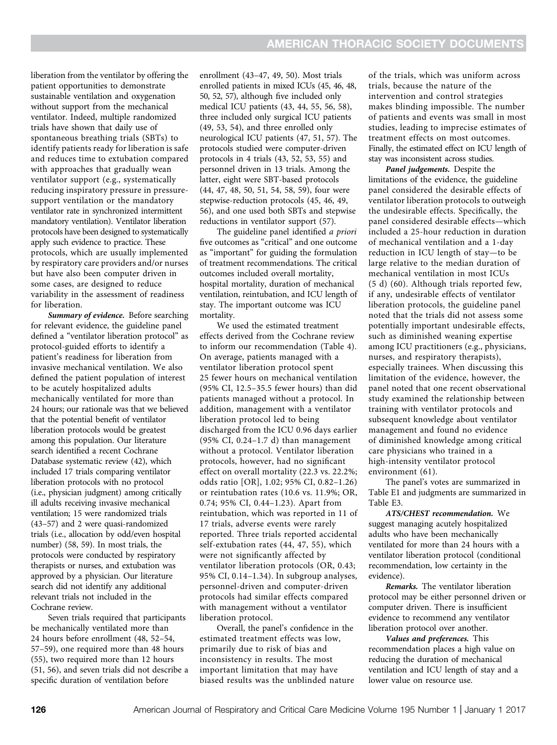liberation from the ventilator by offering the patient opportunities to demonstrate sustainable ventilation and oxygenation without support from the mechanical ventilator. Indeed, multiple randomized trials have shown that daily use of spontaneous breathing trials (SBTs) to identify patients ready for liberation is safe and reduces time to extubation compared with approaches that gradually wean ventilator support (e.g., systematically reducing inspiratory pressure in pressuresupport ventilation or the mandatory ventilator rate in synchronized intermittent mandatory ventilation). Ventilator liberation protocols have been designed to systematically apply such evidence to practice. These protocols, which are usually implemented by respiratory care providers and/or nurses but have also been computer driven in some cases, are designed to reduce variability in the assessment of readiness for liberation.

Summary of evidence. Before searching for relevant evidence, the guideline panel defined a "ventilator liberation protocol" as protocol-guided efforts to identify a patient's readiness for liberation from invasive mechanical ventilation. We also defined the patient population of interest to be acutely hospitalized adults mechanically ventilated for more than 24 hours; our rationale was that we believed that the potential benefit of ventilator liberation protocols would be greatest among this population. Our literature search identified a recent Cochrane Database systematic review (42), which included 17 trials comparing ventilator liberation protocols with no protocol (i.e., physician judgment) among critically ill adults receiving invasive mechanical ventilation; 15 were randomized trials (43–57) and 2 were quasi-randomized trials (i.e., allocation by odd/even hospital number) (58, 59). In most trials, the protocols were conducted by respiratory therapists or nurses, and extubation was approved by a physician. Our literature search did not identify any additional relevant trials not included in the Cochrane review.

Seven trials required that participants be mechanically ventilated more than 24 hours before enrollment (48, 52–54, 57–59), one required more than 48 hours (55), two required more than 12 hours (51, 56), and seven trials did not describe a specific duration of ventilation before

enrollment (43–47, 49, 50). Most trials enrolled patients in mixed ICUs (45, 46, 48, 50, 52, 57), although five included only medical ICU patients (43, 44, 55, 56, 58), three included only surgical ICU patients (49, 53, 54), and three enrolled only neurological ICU patients (47, 51, 57). The protocols studied were computer-driven protocols in 4 trials (43, 52, 53, 55) and personnel driven in 13 trials. Among the latter, eight were SBT-based protocols (44, 47, 48, 50, 51, 54, 58, 59), four were stepwise-reduction protocols (45, 46, 49, 56), and one used both SBTs and stepwise reductions in ventilator support (57).

The guideline panel identified a priori five outcomes as "critical" and one outcome as "important" for guiding the formulation of treatment recommendations. The critical outcomes included overall mortality, hospital mortality, duration of mechanical ventilation, reintubation, and ICU length of stay. The important outcome was ICU mortality.

We used the estimated treatment effects derived from the Cochrane review to inform our recommendation (Table 4). On average, patients managed with a ventilator liberation protocol spent 25 fewer hours on mechanical ventilation (95% CI, 12.5–35.5 fewer hours) than did patients managed without a protocol. In addition, management with a ventilator liberation protocol led to being discharged from the ICU 0.96 days earlier (95% CI, 0.24–1.7 d) than management without a protocol. Ventilator liberation protocols, however, had no significant effect on overall mortality (22.3 vs. 22.2%; odds ratio [OR], 1.02; 95% CI, 0.82–1.26) or reintubation rates (10.6 vs. 11.9%; OR, 0.74; 95% CI, 0.44–1.23). Apart from reintubation, which was reported in 11 of 17 trials, adverse events were rarely reported. Three trials reported accidental self-extubation rates (44, 47, 55), which were not significantly affected by ventilator liberation protocols (OR, 0.43; 95% CI, 0.14–1.34). In subgroup analyses, personnel-driven and computer-driven protocols had similar effects compared with management without a ventilator liberation protocol.

Overall, the panel's confidence in the estimated treatment effects was low, primarily due to risk of bias and inconsistency in results. The most important limitation that may have biased results was the unblinded nature of the trials, which was uniform across trials, because the nature of the intervention and control strategies makes blinding impossible. The number of patients and events was small in most studies, leading to imprecise estimates of treatment effects on most outcomes. Finally, the estimated effect on ICU length of stay was inconsistent across studies.

Panel judgements. Despite the limitations of the evidence, the guideline panel considered the desirable effects of ventilator liberation protocols to outweigh the undesirable effects. Specifically, the panel considered desirable effects—which included a 25-hour reduction in duration of mechanical ventilation and a 1-day reduction in ICU length of stay—to be large relative to the median duration of mechanical ventilation in most ICUs (5 d) (60). Although trials reported few, if any, undesirable effects of ventilator liberation protocols, the guideline panel noted that the trials did not assess some potentially important undesirable effects, such as diminished weaning expertise among ICU practitioners (e.g., physicians, nurses, and respiratory therapists), especially trainees. When discussing this limitation of the evidence, however, the panel noted that one recent observational study examined the relationship between training with ventilator protocols and subsequent knowledge about ventilator management and found no evidence of diminished knowledge among critical care physicians who trained in a high-intensity ventilator protocol environment (61).

The panel's votes are summarized in Table E1 and judgments are summarized in Table E3.

ATS/CHEST recommendation. We suggest managing acutely hospitalized adults who have been mechanically ventilated for more than 24 hours with a ventilator liberation protocol (conditional recommendation, low certainty in the evidence).

Remarks. The ventilator liberation protocol may be either personnel driven or computer driven. There is insufficient evidence to recommend any ventilator liberation protocol over another.

Values and preferences. This recommendation places a high value on reducing the duration of mechanical ventilation and ICU length of stay and a lower value on resource use.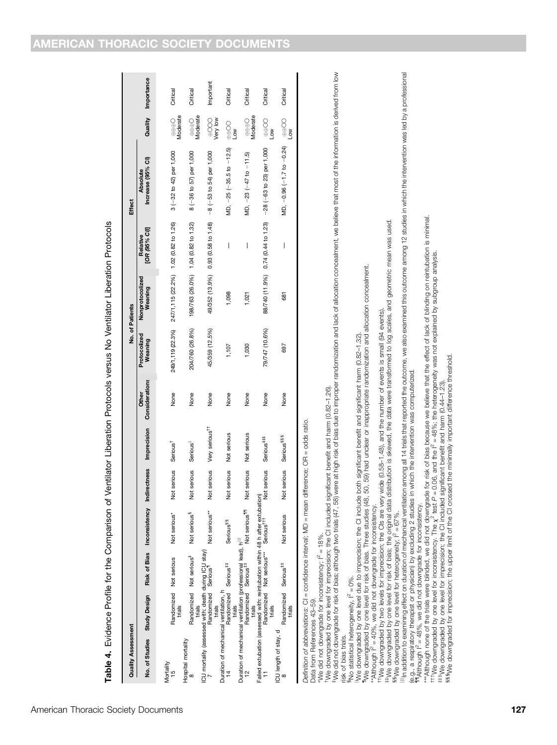| American Thoracic Society Documents |  |  |
|-------------------------------------|--|--|
|-------------------------------------|--|--|

| l                  |  |
|--------------------|--|
|                    |  |
|                    |  |
|                    |  |
|                    |  |
|                    |  |
|                    |  |
|                    |  |
|                    |  |
|                    |  |
|                    |  |
|                    |  |
|                    |  |
|                    |  |
|                    |  |
|                    |  |
|                    |  |
|                    |  |
|                    |  |
|                    |  |
|                    |  |
|                    |  |
|                    |  |
|                    |  |
|                    |  |
|                    |  |
|                    |  |
|                    |  |
|                    |  |
|                    |  |
|                    |  |
|                    |  |
|                    |  |
|                    |  |
|                    |  |
|                    |  |
|                    |  |
|                    |  |
|                    |  |
|                    |  |
|                    |  |
|                    |  |
|                    |  |
|                    |  |
|                    |  |
|                    |  |
|                    |  |
| l<br>I             |  |
|                    |  |
|                    |  |
| $\vdots$<br>j<br>j |  |
| I                  |  |

| <b>Quality Assessment</b>                                                                                               |                                            |                                                                                                |                             |                    |                              |       |                         | No. of Patients                       |                                     | <b>Effect</b>                                                 |                                                |            |
|-------------------------------------------------------------------------------------------------------------------------|--------------------------------------------|------------------------------------------------------------------------------------------------|-----------------------------|--------------------|------------------------------|-------|-------------------------|---------------------------------------|-------------------------------------|---------------------------------------------------------------|------------------------------------------------|------------|
|                                                                                                                         |                                            | No. of Studies Study Design Risk of Bias Inconsistency Indirectness Imprecision Considerations |                             |                    |                              | Other | Protocolized<br>Weaning | Nonprotocolized<br>Weaning            | [OR (95% CI)]<br>Relative           | Increase (95% CI)<br>Absolute                                 | Quality                                        | Importance |
| Mortality<br>15                                                                                                         | trials                                     | Randomized Not serious                                                                         | Not serious*                | <b>Vot</b> serious | Serious <sup>T</sup>         | None  | 249/1,119 (22.3%)       | 247/1,115 (22.2%) 1.02 (0.82 to 1.26) |                                     | 3 (-32 to 42) per 1,000                                       | $\oplus$ $\oplus$ $\oplus$ $\odot$<br>Moderate | Critical   |
| Hospital mortality                                                                                                      |                                            | Randomized Not serious <sup>#</sup>                                                            | Not serious <sup>§</sup>    | <b>Vot</b> serious | Serious                      | None  | 204/760 (26.8%)         |                                       | 198/763 (26.0%) 1.04 (0.82 to 1.32) | 8 (-36 to 57) per 1,000                                       | $\oplus \oplus \ominus$<br>Moderate            | Critical   |
| ICU mortality (assessed with: death during ICU stay)<br>7<br>Randomized Serious                                         | trials<br>trials                           |                                                                                                | Not serious**               | <b>Vot</b> serious | Very serious <sup>11</sup>   | None  | 45/359 (12.5%)          | 49/352 (13.9%)                        |                                     | 0.93 (0.58 to 1.48) $-8$ ( $-53$ to 54) per 1,000             | wery low<br>Very low                           | Important  |
| Duration of mechanical ventilation, h                                                                                   | Randomized Serious <sup>##</sup><br>trials |                                                                                                | <b>Serious<sup>§§</sup></b> | lot serious        | Not serious                  | None  | 1,107                   | 1,098                                 | I                                   | MD, $-25$ ( $-35.5$ to $-12.5$ )                              | $rac{1}{\theta}$<br>₹<br>P                     | Critical   |
| Duration of mechanical ventilation (professional lead), h <sup>illi</sup><br>12<br>Randomized Serious <sup>‡‡</sup> Not | trials                                     |                                                                                                | Not serious <sup>111</sup>  | Not serious        | Not serious                  | None  | 1,030                   | 1,021                                 | I                                   | MD, $-23(-47$ to $-11.5)$                                     | $\oplus$ $\oplus$ $\oplus$ $\odot$<br>Moderate | Critical   |
|                                                                                                                         | trials                                     |                                                                                                |                             |                    | Serious <sup>###</sup>       | None  | 79/747 (10.6%)          |                                       |                                     | 88/740 (11.9%) 0.74 (0.44 to 1.23) - 28 (-63 to 23) per 1,000 | $\begin{matrix} 0 \\ 0 \\ 0 \\ 0 \end{matrix}$ | Critical   |
| ICU length of stay, d                                                                                                   | Randomized Serious <sup>##</sup><br>trials |                                                                                                | Not serious                 | lot serious        | <b>Serious<sup>§§§</sup></b> | None  | 697                     | 681                                   | I                                   | MD, -0.96 (-1.7 to -0.24)                                     | $OO \oplus$<br>λÓ                              | Critical   |
| er Change of Advanced Controller Controller intervals intervals in the intervals of the controller intervals i          |                                            |                                                                                                |                             |                    | مندمه مامام المحمد المتنبي   |       |                         |                                       |                                     |                                                               |                                                |            |

Definition of abbreviations: CI = confidence interval; MD = mean difference; OR = odds ratio. Definition of abbreviations: CI = contidence interval; MD = mean difference; OR = odds ratio.

Data from References 43-59. Data from References 43–59.

"We did not downgrade for inconsistency;  $I^2 = 18\%$ .

We downgraded by one level for imprecision; the CI included significant benefit and harm (0.82-1.26). \*We did not downgrade for inconsistency; I<sup>2</sup> = 18%.<br>\*We downgraded by one level for imprecision; the CI included significant benefit and harm (0.82–1.26).

We did not downgrade for risk of bias; although two trials (47, 58) were at high risk of bias due to improper randomization and lack of allocation concealment, we believe that most of the information is derived from low ‡We did not downgrade for risk of bias; although two trials (47, 58) were at high risk of bias due to improper randomization and lack of allocation concealment, we believe that most of the information is derived from low risk of bias trials. risk of bias trials.

sites, contracts in the secondary,  $l^2 = 0\%$ .

No statistical heterogeneity, I<sup>2</sup> = 0%.<br>IWe downgraded by one level due to imprecision; the CI include both significant benefit and significant harm (0.82–1.32). IWe downgraded by one level due to imprecision; the CI include both significant benefit and significant harm (0.82-1.32).

"Me downgraded by one level for risk of bias. Three studies (48, 50, 59) had unclear or inappropriate randomization and allocation concealment. ¶We downgraded by one level for risk of bias. Three studies (48, 50, 59) had unclear or inappropriate randomization and allocation concealment.

"Although I<sup>2</sup> = 40%, we did not downgrade for inconsistency. \*\*Although  $I^2 = 40\%$ , we did not downgrade for inconsistency.

the downgraded by two levels for imprecision; the CIs are very wide (0.58-1.48), and the number of events is small (94 events). ††We downgraded by two levels for imprecision; the CIs are very wide (0.58–1.48), and the number of events is small (94 events).

ttive downgraded by one level for risk of blas; the original data distribution is skewed, the data were transformed to log scales, and geometric mean was used.<br>If the downgraded by one level for risk of blas; the original

#We downgraded by one level for risk of bias; the original data distribution is skewed, the data were transformed to log scales, and geometric mean was used.<br>§We downgraded by one level for heterogeneity; i<sup>2</sup> = 67%.<br>"In ssive downgraded by one level for heterogeneity;  $l^2 = 67\%$ .

Ill naddition to examining effect on duration of mechanical ventilation among all 14 trials that reported the outcome, we also examined this outcome among 12 studies in which the intervention was led by a professional (e.g., a respiratory therapist or physician) by excluding 2 studies in which the intervention was computerized.<br>"Matthough I<sup>2</sup> = 48%, we did not downgrade for inconsistency. (e.g., a respiratory therapist or physician) by excluding 2 studies in which the intervention was computerized.

 $^{\textsf{m}}$ Although I<sup>2</sup> = 48%, we did not downgrade for inconsistency.

\*\*\*Although none of the trials were blinded, we did not downgrade for risk of bias because we believe that the effect of lack of blinding on reintubation is minimal.<br><sup>†††</sup>We downgraded by one level for inconsistency. The \*\*\*Although none of the trials were blinded, we did not downgrade for risk of bias because we believe that the effect of lack of blinding on reintubation is minimal.

 $^{\dagger\dagger\dagger}$ We downgraded by one level for inconsistency. The  $\chi^2$  test P = 0.06, and the I<sup>2</sup> = 48%; the heterogeneity was not explained by subgroup analysis. ‡‡‡We downgraded by one level for imprecision; the CI included significant benefit and harm (0.44–1.23).

ssswe downgraded for imprecision; the upper limit of the CI crossed the minimally important difference threshold.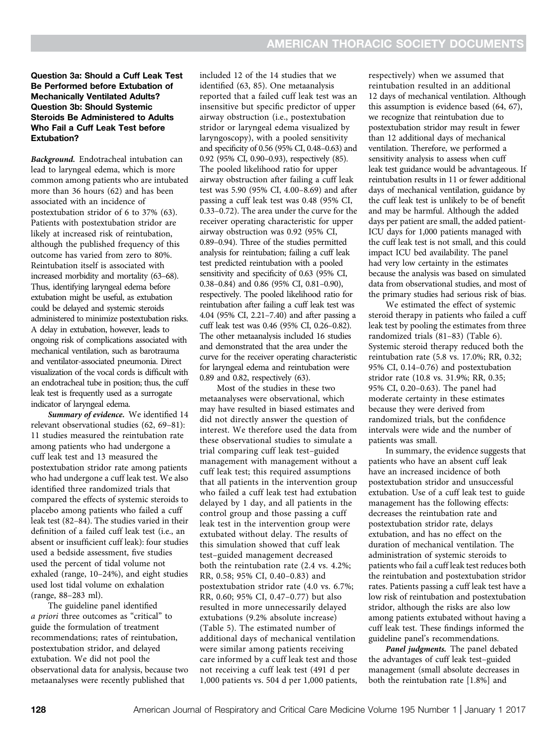#### Question 3a: Should a Cuff Leak Test Be Performed before Extubation of Mechanically Ventilated Adults? Question 3b: Should Systemic Steroids Be Administered to Adults Who Fail a Cuff Leak Test before Extubation?

Background. Endotracheal intubation can lead to laryngeal edema, which is more common among patients who are intubated more than 36 hours (62) and has been associated with an incidence of postextubation stridor of 6 to 37% (63). Patients with postextubation stridor are likely at increased risk of reintubation, although the published frequency of this outcome has varied from zero to 80%. Reintubation itself is associated with increased morbidity and mortality (63–68). Thus, identifying laryngeal edema before extubation might be useful, as extubation could be delayed and systemic steroids administered to minimize postextubation risks. A delay in extubation, however, leads to ongoing risk of complications associated with mechanical ventilation, such as barotrauma and ventilator-associated pneumonia. Direct visualization of the vocal cords is difficult with an endotracheal tube in position; thus, the cuff leak test is frequently used as a surrogate indicator of laryngeal edema.

Summary of evidence. We identified 14 relevant observational studies (62, 69–81): 11 studies measured the reintubation rate among patients who had undergone a cuff leak test and 13 measured the postextubation stridor rate among patients who had undergone a cuff leak test. We also identified three randomized trials that compared the effects of systemic steroids to placebo among patients who failed a cuff leak test (82–84). The studies varied in their definition of a failed cuff leak test (i.e., an absent or insufficient cuff leak): four studies used a bedside assessment, five studies used the percent of tidal volume not exhaled (range, 10–24%), and eight studies used lost tidal volume on exhalation (range, 88–283 ml).

The guideline panel identified a priori three outcomes as "critical" to guide the formulation of treatment recommendations; rates of reintubation, postextubation stridor, and delayed extubation. We did not pool the observational data for analysis, because two metaanalyses were recently published that

included 12 of the 14 studies that we identified (63, 85). One metaanalysis reported that a failed cuff leak test was an insensitive but specific predictor of upper airway obstruction (i.e., postextubation stridor or laryngeal edema visualized by laryngoscopy), with a pooled sensitivity and specificity of 0.56 (95% CI, 0.48–0.63) and 0.92 (95% CI, 0.90–0.93), respectively (85). The pooled likelihood ratio for upper airway obstruction after failing a cuff leak test was 5.90 (95% CI, 4.00–8.69) and after passing a cuff leak test was 0.48 (95% CI, 0.33–0.72). The area under the curve for the receiver operating characteristic for upper airway obstruction was 0.92 (95% CI, 0.89–0.94). Three of the studies permitted analysis for reintubation; failing a cuff leak test predicted reintubation with a pooled sensitivity and specificity of 0.63 (95% CI, 0.38–0.84) and 0.86 (95% CI, 0.81–0.90), respectively. The pooled likelihood ratio for reintubation after failing a cuff leak test was 4.04 (95% CI, 2.21–7.40) and after passing a cuff leak test was 0.46 (95% CI, 0.26–0.82). The other metaanalysis included 16 studies and demonstrated that the area under the curve for the receiver operating characteristic for laryngeal edema and reintubation were 0.89 and 0.82, respectively (63).

Most of the studies in these two metaanalyses were observational, which may have resulted in biased estimates and did not directly answer the question of interest. We therefore used the data from these observational studies to simulate a trial comparing cuff leak test–guided management with management without a cuff leak test; this required assumptions that all patients in the intervention group who failed a cuff leak test had extubation delayed by 1 day, and all patients in the control group and those passing a cuff leak test in the intervention group were extubated without delay. The results of this simulation showed that cuff leak test–guided management decreased both the reintubation rate (2.4 vs. 4.2%; RR, 0.58; 95% CI, 0.40–0.83) and postextubation stridor rate (4.0 vs. 6.7%; RR, 0.60; 95% CI, 0.47–0.77) but also resulted in more unnecessarily delayed extubations (9.2% absolute increase) (Table 5). The estimated number of additional days of mechanical ventilation were similar among patients receiving care informed by a cuff leak test and those not receiving a cuff leak test (491 d per 1,000 patients vs. 504 d per 1,000 patients,

respectively) when we assumed that reintubation resulted in an additional 12 days of mechanical ventilation. Although this assumption is evidence based (64, 67), we recognize that reintubation due to postextubation stridor may result in fewer than 12 additional days of mechanical ventilation. Therefore, we performed a sensitivity analysis to assess when cuff leak test guidance would be advantageous. If reintubation results in 11 or fewer additional days of mechanical ventilation, guidance by the cuff leak test is unlikely to be of benefit and may be harmful. Although the added days per patient are small, the added patient-ICU days for 1,000 patients managed with the cuff leak test is not small, and this could impact ICU bed availability. The panel had very low certainty in the estimates because the analysis was based on simulated data from observational studies, and most of the primary studies had serious risk of bias.

We estimated the effect of systemic steroid therapy in patients who failed a cuff leak test by pooling the estimates from three randomized trials (81–83) (Table 6). Systemic steroid therapy reduced both the reintubation rate (5.8 vs. 17.0%; RR, 0.32; 95% CI, 0.14–0.76) and postextubation stridor rate (10.8 vs. 31.9%; RR, 0.35; 95% CI, 0.20–0.63). The panel had moderate certainty in these estimates because they were derived from randomized trials, but the confidence intervals were wide and the number of patients was small.

In summary, the evidence suggests that patients who have an absent cuff leak have an increased incidence of both postextubation stridor and unsuccessful extubation. Use of a cuff leak test to guide management has the following effects: decreases the reintubation rate and postextubation stridor rate, delays extubation, and has no effect on the duration of mechanical ventilation. The administration of systemic steroids to patients who fail a cuff leak test reduces both the reintubation and postextubation stridor rates. Patients passing a cuff leak test have a low risk of reintubation and postextubation stridor, although the risks are also low among patients extubated without having a cuff leak test. These findings informed the guideline panel's recommendations.

Panel judgments. The panel debated the advantages of cuff leak test–guided management (small absolute decreases in both the reintubation rate [1.8%] and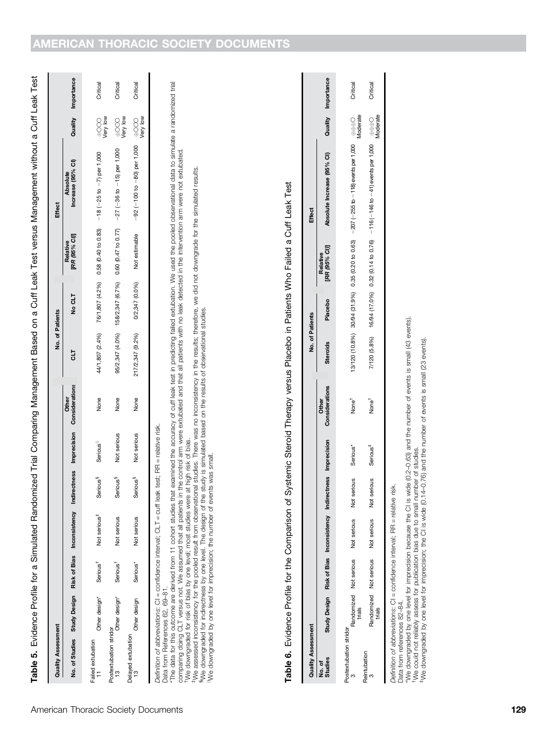Table 5. Evidence Profile for a Simulated Randomized Trial Comparing Management Based on a Cuff Leak Test versus Management without a Cuff Leak Test Table 5. Evidence Profile for a Simulated Randomized Trial Comparing Management Based on a Cuff Leak Test versus Management without a Cuff Leak Test

| <b>Quality Assessment</b>   |                                                                                                  |                      |                          |                             |             |              | No. of Patients  |                |                           | <b>Effect</b>                                                                   |                      |                    |
|-----------------------------|--------------------------------------------------------------------------------------------------|----------------------|--------------------------|-----------------------------|-------------|--------------|------------------|----------------|---------------------------|---------------------------------------------------------------------------------|----------------------|--------------------|
|                             | No. of Studies Study Design Risk of Bias Inconsistency Indirectness Imprecision Considerations   |                      |                          |                             |             | <b>Other</b> | 당                | No CLT         | [RR (95% CI)]<br>Relative | Increase (95% CI)<br><b>Absolute</b>                                            |                      | Quality Importance |
| Failed extubation           | Other design*                                                                                    | Serious <sup>†</sup> | Not serious <sup>#</sup> | <b>Serious</b> <sup>§</sup> | Serious     | None         |                  |                |                           | 44/1,807 (2.4%) 76/1,807 (4.2%) 0.58 (0.40 to 0.83) -18 (-25 to -7) per 1,000   | wer Yee<br>Very      | Critical           |
| Postextubation stridor<br>ŗ | Other design*                                                                                    | Serious <sup>†</sup> | Not serious              | Serious <sup>3</sup>        | Not serious | None         |                  |                |                           | 95/2,347 (4.0%) 158/2,347 (6.7%) 0.60 (0.47 to 0.77) -27 (-36 to -15) per 1,000 | wery low<br>Very low | Critical           |
| Delayed extubation<br>13    | Other design                                                                                     | Serious*             | Not serious              | Serious <sup>3</sup>        | Not serious | None         | 217/2,347 (9.2%) | 0/2,347 (0.0%) | Not estimable             | —92 (−100 to −80) per 1,000 → OOO<br>World Version                              |                      | Critical           |
|                             |                                                                                                  |                      |                          |                             |             |              |                  |                |                           |                                                                                 |                      |                    |
|                             | Definition of abbreviations: CI = confidence interval: CLT = cuff leak test: RR = relative risk. |                      |                          |                             |             |              |                  |                |                           |                                                                                 |                      |                    |

Definition of abbreviations: CI = confidence interval; CLT = cuff leak test; RR = relative risk.

Data from References 62, 69-81. Data from References 62, 69–81. \*The data for this outcome are derived from 11 cohort studies that examined the accuracy of cuff leak test in predicting failed extubation. We used the pooled observational data to simulate a randomized trial<br>comparing doi \*The data for this outcome are derived from 11 cohort studies that examined the accuracy of cuff leak test in predicting failed extubation. We used the pooled observational data to simulate a randomized trial comparing doing CLT versus not. We assumed that all patients in the control arm were extubated and that all patients with no leak detected in the intervention arm were not extubated.

We downgraded for risk of bias by one level; most studies were at high risk of bias. †We downgraded for risk of bias by one level; most studies were at high risk of bias.

t We assessed inconsistency for the pooled result from observational studies. There was no inconsistency in the results; therefore, we did not downgrade for the simulated results.<br>§We downgraded for indirectness by one le ‡We assessed inconsistency for the pooled result from observational studies. There was no inconsistency in the results; therefore, we did not downgrade for the simulated results.

xWe downgraded for indirectness by one level. The design of the study is simulated based on the results of observational studies. jjWe downgraded by one level for imprecision; the number of events was small.

Table 6. Evidence Profile for the Comparison of Systemic Steroid Therapy versus Placebo in Patients Who Failed a Cuff Leak Test Table 6. Evidence Profile for the Comparison of Systemic Steroid Therapy versus Placebo in Patients Who Failed a Cuff Leak Test

| <b>Quality Assessment</b>   |                                                                                                                                                                                                            |                        |                                                                  |                             |                      |                                                                                                                                                                                                      | No. of Patients |         |                           | Effect                                                                                   |                           |                    |
|-----------------------------|------------------------------------------------------------------------------------------------------------------------------------------------------------------------------------------------------------|------------------------|------------------------------------------------------------------|-----------------------------|----------------------|------------------------------------------------------------------------------------------------------------------------------------------------------------------------------------------------------|-----------------|---------|---------------------------|------------------------------------------------------------------------------------------|---------------------------|--------------------|
| Studies<br>No.of            |                                                                                                                                                                                                            |                        | Study Design Risk of Bias Inconsistency Indirectness Imprecision |                             |                      | Considerations<br><b>Other</b>                                                                                                                                                                       | <b>Steroids</b> | Placebo | [RR (95% CI)]<br>Relative | Absolute Increase (95% CI)                                                               |                           | Quality Importance |
| Postextubation stridor      | trials                                                                                                                                                                                                     | Randomized Not serious | Not serious                                                      | serious<br>ă                | Serious*             | None <sup>†</sup>                                                                                                                                                                                    |                 |         |                           | 13/120 (10.8%) 30/94 (31.9%) 0.35 (0.20 to 0.63) $-207$ (-255 to $-118$ events per 1,000 | $\frac{1}{2}$<br>Moderate | Critical           |
| Reintubation                | trials                                                                                                                                                                                                     |                        | Randomized Not serious Not serious                               | serious<br>ă                | Serious <sup>‡</sup> | None <sup>†</sup>                                                                                                                                                                                    |                 |         |                           | 7/120 (5.8%) 16/94 (17.0%) 0.32 (0.14 to 0.76) −116 (-146 to -41) events per 1,000 ⊕⊕⊝   | Vloderate                 | Critical           |
| Data from references 82-84. | Definition of abbreviations: CI = confidence interval; RR = relative<br>*We downgraded by one level for imprecision because the CI is<br>TWe could not reliably assess for publication bias due to small r |                        |                                                                  | number of studies.<br>risk, |                      | wide (0.2-0.63) and the number of events is small (43 events).<br><sup>#</sup> We downgraded by one level for imprecision; the Cl is wide (0.14-0.76) and the number of events is small (23 events). |                 |         |                           |                                                                                          |                           |                    |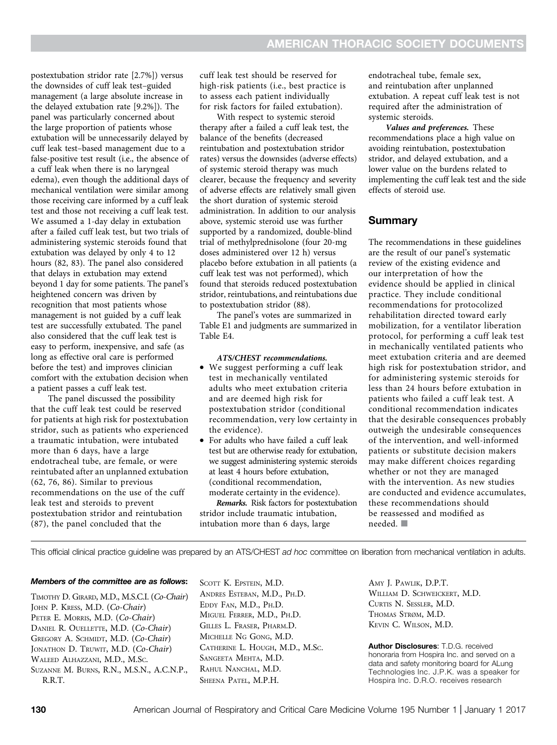postextubation stridor rate [2.7%]) versus the downsides of cuff leak test–guided management (a large absolute increase in the delayed extubation rate [9.2%]). The panel was particularly concerned about the large proportion of patients whose extubation will be unnecessarily delayed by cuff leak test–based management due to a false-positive test result (i.e., the absence of a cuff leak when there is no laryngeal edema), even though the additional days of mechanical ventilation were similar among those receiving care informed by a cuff leak test and those not receiving a cuff leak test. We assumed a 1-day delay in extubation after a failed cuff leak test, but two trials of administering systemic steroids found that extubation was delayed by only 4 to 12 hours (82, 83). The panel also considered that delays in extubation may extend beyond 1 day for some patients. The panel's heightened concern was driven by recognition that most patients whose management is not guided by a cuff leak test are successfully extubated. The panel also considered that the cuff leak test is easy to perform, inexpensive, and safe (as long as effective oral care is performed before the test) and improves clinician comfort with the extubation decision when a patient passes a cuff leak test.

The panel discussed the possibility that the cuff leak test could be reserved for patients at high risk for postextubation stridor, such as patients who experienced a traumatic intubation, were intubated more than 6 days, have a large endotracheal tube, are female, or were reintubated after an unplanned extubation (62, 76, 86). Similar to previous recommendations on the use of the cuff leak test and steroids to prevent postextubation stridor and reintubation (87), the panel concluded that the

cuff leak test should be reserved for high-risk patients (i.e., best practice is to assess each patient individually for risk factors for failed extubation).

With respect to systemic steroid therapy after a failed a cuff leak test, the balance of the benefits (decreased reintubation and postextubation stridor rates) versus the downsides (adverse effects) of systemic steroid therapy was much clearer, because the frequency and severity of adverse effects are relatively small given the short duration of systemic steroid administration. In addition to our analysis above, systemic steroid use was further supported by a randomized, double-blind trial of methylprednisolone (four 20-mg doses administered over 12 h) versus placebo before extubation in all patients (a cuff leak test was not performed), which found that steroids reduced postextubation stridor, reintubations, and reintubations due to postextubation stridor (88).

The panel's votes are summarized in Table E1 and judgments are summarized in Table E4.

#### ATS/CHEST recommendations. • We suggest performing a cuff leak test in mechanically ventilated adults who meet extubation criteria and are deemed high risk for postextubation stridor (conditional recommendation, very low certainty in the evidence).

• For adults who have failed a cuff leak test but are otherwise ready for extubation, we suggest administering systemic steroids at least 4 hours before extubation, (conditional recommendation, moderate certainty in the evidence).

Remarks. Risk factors for postextubation stridor include traumatic intubation, intubation more than 6 days, large

endotracheal tube, female sex, and reintubation after unplanned extubation. A repeat cuff leak test is not required after the administration of systemic steroids.

Values and preferences. These recommendations place a high value on avoiding reintubation, postextubation stridor, and delayed extubation, and a lower value on the burdens related to implementing the cuff leak test and the side effects of steroid use.

#### **Summary**

The recommendations in these guidelines are the result of our panel's systematic review of the existing evidence and our interpretation of how the evidence should be applied in clinical practice. They include conditional recommendations for protocolized rehabilitation directed toward early mobilization, for a ventilator liberation protocol, for performing a cuff leak test in mechanically ventilated patients who meet extubation criteria and are deemed high risk for postextubation stridor, and for administering systemic steroids for less than 24 hours before extubation in patients who failed a cuff leak test. A conditional recommendation indicates that the desirable consequences probably outweigh the undesirable consequences of the intervention, and well-informed patients or substitute decision makers may make different choices regarding whether or not they are managed with the intervention. As new studies are conducted and evidence accumulates, these recommendations should be reassessed and modified as needed.  $\blacksquare$ 

This official clinical practice guideline was prepared by an ATS/CHEST ad hoc committee on liberation from mechanical ventilation in adults.

#### Members of the committee are as follows:

TIMOTHY D. GIRARD, M.D., M.S.C.I. (Co-Chair) JOHN P. KRESS, M.D. (Co-Chair) PETER E. MORRIS, M.D. (Co-Chair) DANIEL R. OUELLETTE, M.D. (Co-Chair) GREGORY A. SCHMIDT, M.D. (Co-Chair) JONATHON D. TRUWIT, M.D. (Co-Chair) WALEED ALHAZZANI, M.D., M.SC. SUZANNE M. BURNS, R.N., M.S.N., A.C.N.P., R.R.T.

SCOTT K. EPSTEIN, M.D. ANDRES ESTEBAN, M.D., PH.D. EDDY FAN, M.D., PH.D. MIGUEL FERRER, M.D., PH.D. GILLES L. FRASER, PHARM.D. MICHELLE NG GONG, M.D. CATHERINE L. HOUGH, M.D., M.SC. SANGEETA MEHTA, M.D. RAHUL NANCHAL, M.D. SHEENA PATEL, M.P.H.

AMY J. PAWLIK, D.P.T. WILLIAM D. SCHWEICKERT, M.D. CURTIS N. SESSLER, M.D. THOMAS STRØM, M.D. KEVIN C. WILSON, M.D.

Author Disclosures: T.D.G. received honoraria from Hospira Inc. and served on a data and safety monitoring board for ALung Technologies Inc. J.P.K. was a speaker for Hospira Inc. D.R.O. receives research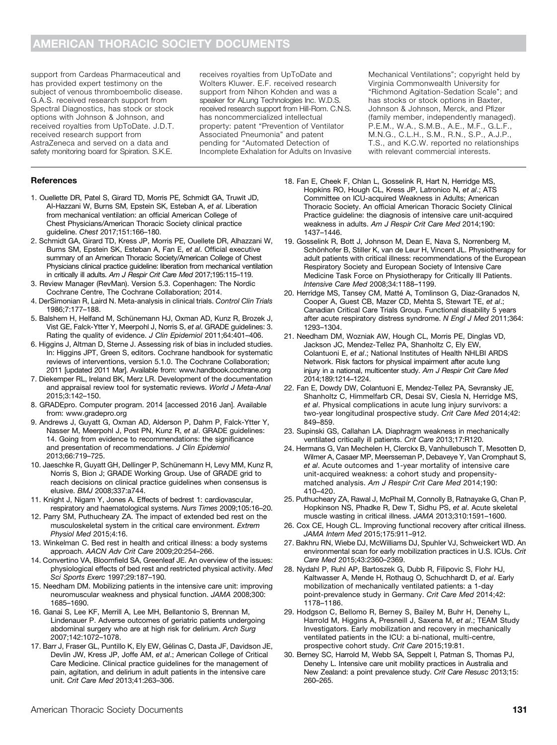support from Cardeas Pharmaceutical and has provided expert testimony on the subject of venous thromboembolic disease. G.A.S. received research support from Spectral Diagnostics, has stock or stock options with Johnson & Johnson, and received royalties from UpToDate. J.D.T. received research support from AstraZeneca and served on a data and safety monitoring board for Spiration. S.K.E.

receives royalties from UpToDate and Wolters Kluwer. E.F. received research support from Nihon Kohden and was a speaker for ALung Technologies Inc. W.D.S. received research support from Hill-Rom. C.N.S. has noncommercialized intellectual property: patent "Prevention of Ventilator Associated Pneumonia" and patent pending for "Automated Detection of Incomplete Exhalation for Adults on Invasive

Mechanical Ventilations"; copyright held by Virginia Commonwealth University for "Richmond Agitation-Sedation Scale"; and has stocks or stock options in Baxter, Johnson & Johnson, Merck, and Pfizer (family member, independently managed). P.E.M., W.A., S.M.B., A.E., M.F., G.L.F., M.N.G., C.L.H., S.M., R.N., S.P., A.J.P., T.S., and K.C.W. reported no relationships with relevant commercial interests.

#### **References**

- 1. Ouellette DR, Patel S, Girard TD, Morris PE, Schmidt GA, Truwit JD, Al-Hazzani W, Burns SM, Epstein SK, Esteban A, et al. Liberation from mechanical ventilation: an official American College of Chest Physicians/American Thoracic Society clinical practice guideline. Chest 2017;151:166–180.
- 2. Schmidt GA, Girard TD, Kress JP, Morris PE, Ouellete DR, Alhazzani W, Burns SM, Epstein SK, Esteban A, Fan E, et al. Official executive summary of an American Thoracic Society/American College of Chest Physicians clinical practice guideline: liberation from mechanical ventilation in critically ill adults. Am J Respir Crit Care Med 2017;195:115-119.
- 3. Review Manager (RevMan). Version 5.3. Copenhagen: The Nordic Cochrane Centre, The Cochrane Collaboration; 2014.
- 4. DerSimonian R, Laird N. Meta-analysis in clinical trials. Control Clin Trials 1986;7:177–188.
- 5. Balshem H, Helfand M, Schünemann HJ, Oxman AD, Kunz R, Brozek J, Vist GE, Falck-Ytter Y, Meerpohl J, Norris S, et al. GRADE guidelines: 3. Rating the quality of evidence. J Clin Epidemiol 2011;64:401-406.
- 6. Higgins J, Altman D, Sterne J. Assessing risk of bias in included studies. In: Higgins JPT, Green S, editors. Cochrane handbook for systematic reviews of interventions, version 5.1.0. The Cochrane Collaboration; 2011 [updated 2011 Mar]. Available from: [www.handbook.cochrane.org](http://www.handbook.cochrane.org)
- 7. Diekemper RL, Ireland BK, Merz LR. Development of the documentation and appraisal review tool for systematic reviews. World J Meta-Anal 2015;3:142–150.
- 8. GRADEpro. Computer program. 2014 [accessed 2016 Jan]. Available from: [www.gradepro.org](http://www.gradepro.org)
- 9. Andrews J, Guyatt G, Oxman AD, Alderson P, Dahm P, Falck-Ytter Y, Nasser M, Meerpohl J, Post PN, Kunz R, et al. GRADE guidelines: 14. Going from evidence to recommendations: the significance and presentation of recommendations. J Clin Epidemiol 2013;66:719–725.
- 10. Jaeschke R, Guyatt GH, Dellinger P, Schünemann H, Levy MM, Kunz R, Norris S, Bion J; GRADE Working Group. Use of GRADE grid to reach decisions on clinical practice guidelines when consensus is elusive. BMJ 2008;337:a744.
- 11. Knight J, Nigam Y, Jones A. Effects of bedrest 1: cardiovascular, respiratory and haematological systems. Nurs Times 2009;105:16–20.
- 12. Parry SM, Puthucheary ZA. The impact of extended bed rest on the musculoskeletal system in the critical care environment. Extrem Physiol Med 2015;4:16.
- 13. Winkelman C. Bed rest in health and critical illness: a body systems approach. AACN Adv Crit Care 2009;20:254–266.
- 14. Convertino VA, Bloomfield SA, Greenleaf JE. An overview of the issues: physiological effects of bed rest and restricted physical activity. Med Sci Sports Exerc 1997;29:187–190.
- 15. Needham DM. Mobilizing patients in the intensive care unit: improving neuromuscular weakness and physical function. JAMA 2008;300: 1685–1690.
- 16. Ganai S, Lee KF, Merrill A, Lee MH, Bellantonio S, Brennan M, Lindenauer P. Adverse outcomes of geriatric patients undergoing abdominal surgery who are at high risk for delirium. Arch Surg 2007;142:1072–1078.
- 17. Barr J, Fraser GL, Puntillo K, Ely EW, Gélinas C, Dasta JF, Davidson JE, Devlin JW, Kress JP, Joffe AM, et al.; American College of Critical Care Medicine. Clinical practice guidelines for the management of pain, agitation, and delirium in adult patients in the intensive care unit. Crit Care Med 2013;41:263–306.
- 18. Fan E, Cheek F, Chlan L, Gosselink R, Hart N, Herridge MS, Hopkins RO, Hough CL, Kress JP, Latronico N, et al.; ATS Committee on ICU-acquired Weakness in Adults; American Thoracic Society. An official American Thoracic Society Clinical Practice guideline: the diagnosis of intensive care unit-acquired weakness in adults. Am J Respir Crit Care Med 2014;190: 1437–1446.
- 19. Gosselink R, Bott J, Johnson M, Dean E, Nava S, Norrenberg M, Schönhofer B, Stiller K, van de Leur H, Vincent JL. Physiotherapy for adult patients with critical illness: recommendations of the European Respiratory Society and European Society of Intensive Care Medicine Task Force on Physiotherapy for Critically Ill Patients. Intensive Care Med 2008;34:1188–1199.
- 20. Herridge MS, Tansey CM, Matté A, Tomlinson G, Diaz-Granados N, Cooper A, Guest CB, Mazer CD, Mehta S, Stewart TE, et al.; Canadian Critical Care Trials Group. Functional disability 5 years after acute respiratory distress syndrome. N Engl J Med 2011;364: 1293–1304.
- 21. Needham DM, Wozniak AW, Hough CL, Morris PE, Dinglas VD, Jackson JC, Mendez-Tellez PA, Shanholtz C, Ely EW, Colantuoni E, et al.; National Institutes of Health NHLBI ARDS Network. Risk factors for physical impairment after acute lung injury in a national, multicenter study. Am J Respir Crit Care Med 2014;189:1214–1224.
- 22. Fan E, Dowdy DW, Colantuoni E, Mendez-Tellez PA, Sevransky JE, Shanholtz C, Himmelfarb CR, Desai SV, Ciesla N, Herridge MS, et al. Physical complications in acute lung injury survivors: a two-year longitudinal prospective study. Crit Care Med 2014;42: 849–859.
- 23. Supinski GS, Callahan LA. Diaphragm weakness in mechanically ventilated critically ill patients. Crit Care 2013;17:R120.
- 24. Hermans G, Van Mechelen H, Clerckx B, Vanhullebusch T, Mesotten D, Wilmer A, Casaer MP, Meersseman P, Debaveye Y, Van Cromphaut S, et al. Acute outcomes and 1-year mortality of intensive care unit-acquired weakness: a cohort study and propensitymatched analysis. Am J Respir Crit Care Med 2014;190: 410–420.
- 25. Puthucheary ZA, Rawal J, McPhail M, Connolly B, Ratnayake G, Chan P, Hopkinson NS, Phadke R, Dew T, Sidhu PS, et al. Acute skeletal muscle wasting in critical illness. JAMA 2013;310:1591–1600.
- 26. Cox CE, Hough CL. Improving functional recovery after critical illness. JAMA Intern Med 2015;175:911–912.
- 27. Bakhru RN, Wiebe DJ, McWilliams DJ, Spuhler VJ, Schweickert WD. An environmental scan for early mobilization practices in U.S. ICUs. Crit Care Med 2015;43:2360–2369.
- 28. Nydahl P, Ruhl AP, Bartoszek G, Dubb R, Filipovic S, Flohr HJ, Kaltwasser A, Mende H, Rothaug O, Schuchhardt D, et al. Early mobilization of mechanically ventilated patients: a 1-day point-prevalence study in Germany. Crit Care Med 2014;42: 1178–1186.
- 29. Hodgson C, Bellomo R, Berney S, Bailey M, Buhr H, Denehy L, Harrold M, Higgins A, Presneill J, Saxena M, et al.; TEAM Study Investigators. Early mobilization and recovery in mechanically ventilated patients in the ICU: a bi-national, multi-centre, prospective cohort study. Crit Care 2015;19:81.
- 30. Berney SC, Harrold M, Webb SA, Seppelt I, Patman S, Thomas PJ, Denehy L. Intensive care unit mobility practices in Australia and New Zealand: a point prevalence study. Crit Care Resusc 2013;15: 260–265.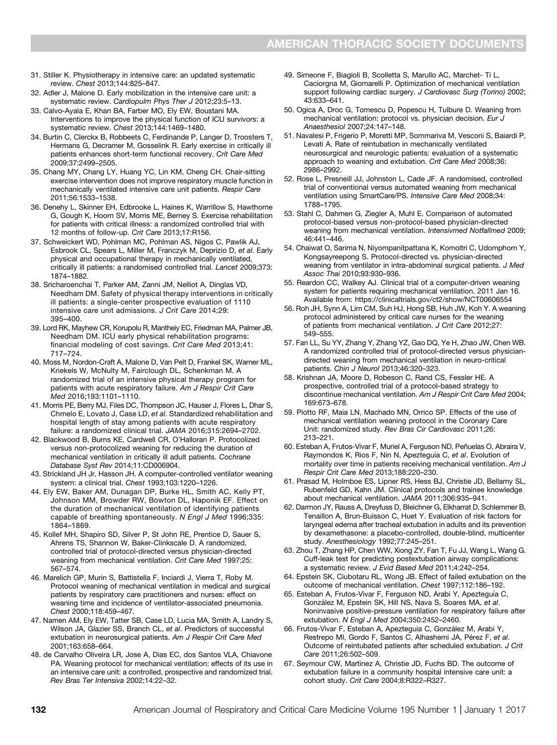- 31. Stiller K. Physiotherapy in intensive care: an updated systematic review. Chest 2013;144:825–847.
- 32. Adler J, Malone D. Early mobilization in the intensive care unit: a systematic review. Cardiopulm Phys Ther J 2012;23:5–13.
- 33. Calvo-Ayala E, Khan BA, Farber MO, Ely EW, Boustani MA. Interventions to improve the physical function of ICU survivors: a systematic review. Chest 2013;144:1469–1480.
- 34. Burtin C, Clerckx B, Robbeets C, Ferdinande P, Langer D, Troosters T, Hermans G, Decramer M, Gosselink R. Early exercise in critically ill patients enhances short-term functional recovery. Crit Care Med 2009;37:2499–2505.
- 35. Chang MY, Chang LY, Huang YC, Lin KM, Cheng CH. Chair-sitting exercise intervention does not improve respiratory muscle function in mechanically ventilated intensive care unit patients. Respir Care 2011;56:1533–1538.
- 36. Denehy L, Skinner EH, Edbrooke L, Haines K, Warrillow S, Hawthorne G, Gough K, Hoorn SV, Morris ME, Berney S. Exercise rehabilitation for patients with critical illness: a randomized controlled trial with 12 months of follow-up. Crit Care 2013;17:R156.
- 37. Schweickert WD, Pohlman MC, Pohlman AS, Nigos C, Pawlik AJ, Esbrook CL, Spears L, Miller M, Franczyk M, Deprizio D, et al. Early physical and occupational therapy in mechanically ventilated, critically ill patients: a randomised controlled trial. Lancet 2009;373: 1874–1882.
- 38. Sricharoenchai T, Parker AM, Zanni JM, Nelliot A, Dinglas VD, Needham DM. Safety of physical therapy interventions in critically ill patients: a single-center prospective evaluation of 1110 intensive care unit admissions. J Crit Care 2014;29: 395–400.
- 39. Lord RK, Mayhew CR, Korupolu R, Mantheiy EC, Friedman MA, Palmer JB, Needham DM. ICU early physical rehabilitation programs: financial modeling of cost savings. Crit Care Med 2013;41: 717–724.
- 40. Moss M, Nordon-Craft A, Malone D, Van Pelt D, Frankel SK, Warner ML, Kriekels W, McNulty M, Fairclough DL, Schenkman M. A randomized trial of an intensive physical therapy program for patients with acute respiratory failure. Am J Respir Crit Care Med 2016;193:1101–1110.
- 41. Morris PE, Berry MJ, Files DC, Thompson JC, Hauser J, Flores L, Dhar S, Chmelo E, Lovato J, Case LD, et al. Standardized rehabilitation and hospital length of stay among patients with acute respiratory failure: a randomized clinical trial. JAMA 2016;315:2694–2702.
- 42. Blackwood B, Burns KE, Cardwell CR, O'Halloran P. Protocolized versus non-protocolized weaning for reducing the duration of mechanical ventilation in critically ill adult patients. Cochrane Database Syst Rev 2014;11:CD006904.
- 43. Strickland JH Jr, Hasson JH. A computer-controlled ventilator weaning system: a clinical trial. Chest 1993;103:1220–1226.
- 44. Ely EW, Baker AM, Dunagan DP, Burke HL, Smith AC, Kelly PT, Johnson MM, Browder RW, Bowton DL, Haponik EF. Effect on the duration of mechanical ventilation of identifying patients capable of breathing spontaneously. N Engl J Med 1996;335: 1864–1869.
- 45. Kollef MH, Shapiro SD, Silver P, St John RE, Prentice D, Sauer S, Ahrens TS, Shannon W, Baker-Clinkscale D. A randomized, controlled trial of protocol-directed versus physician-directed weaning from mechanical ventilation. Crit Care Med 1997;25: 567–574.
- 46. Marelich GP, Murin S, Battistella F, Inciardi J, Vierra T, Roby M. Protocol weaning of mechanical ventilation in medical and surgical patients by respiratory care practitioners and nurses: effect on weaning time and incidence of ventilator-associated pneumonia. Chest 2000;118:459–467.
- 47. Namen AM, Ely EW, Tatter SB, Case LD, Lucia MA, Smith A, Landry S, Wilson JA, Glazier SS, Branch CL, et al. Predictors of successful extubation in neurosurgical patients. Am J Respir Crit Care Med 2001;163:658–664.
- 48. de Carvalho Oliveira LR, Jose A, Dias EC, dos Santos VLA, Chiavone PA. Weaning protocol for mechanical ventilation: effects of its use in an intensive care unit: a controlled, prospective and randomized trial. Rev Bras Ter Intensiva 2002;14:22–32.
- 49. Simeone F, Biagioli B, Scolletta S, Marullo AC, Marchet- Ti L, Caciorgna M, Giomarelli P. Optimization of mechanical ventilation support following cardiac surgery. J Cardiovasc Surg (Torino) 2002; 43:633–641.
- 50. Ogica A, Droc G, Tomescu D, Popescu H, Tulbure D. Weaning from mechanical ventilation: protocol vs. physician decision. Eur J Anaesthesiol 2007;24:147–148.
- 51. Navalesi P, Frigerio P, Moretti MP, Sommariva M, Vesconi S, Baiardi P, Levati A. Rate of reintubation in mechanically ventilated neurosurgical and neurologic patients: evaluation of a systematic approach to weaning and extubation. Crit Care Med 2008;36: 2986–2992.
- 52. Rose L, Presneill JJ, Johnston L, Cade JF. A randomised, controlled trial of conventional versus automated weaning from mechanical ventilation using SmartCare/PS. Intensive Care Med 2008;34: 1788–1795.
- 53. Stahl C, Dahmen G, Ziegler A, Muhl E. Comparison of automated protocol-based versus non-protocol-based physician-directed weaning from mechanical ventilation. Intensivmed Notfallmed 2009; 46:441–446.
- 54. Chaiwat O, Sarima N, Niyompanitpattana K, Komoltri C, Udomphorn Y, Kongsayreepong S. Protocol-directed vs. physician-directed weaning from ventilator in intra-abdominal surgical patients. J Med Assoc Thai 2010;93:930–936.
- 55. Reardon CC, Walkey AJ. Clinical trial of a computer-driven weaning system for patients requiring mechanical ventilation. 2011 Jan 16. Available from:<https://clinicaltrials.gov/ct2/show/NCT00606554>
- 56. Roh JH, Synn A, Lim CM, Suh HJ, Hong SB, Huh JW, Koh Y. A weaning protocol administered by critical care nurses for the weaning of patients from mechanical ventilation. J Crit Care 2012;27: 549–555.
- 57. Fan LL, Su YY, Zhang Y, Zhang YZ, Gao DQ, Ye H, Zhao JW, Chen WB. A randomized controlled trial of protocol-directed versus physiciandirected weaning from mechanical ventilation in neuro-critical patients. Chin J Neurol 2013;46:320–323.
- 58. Krishnan JA, Moore D, Robeson C, Rand CS, Fessler HE. A prospective, controlled trial of a protocol-based strategy to discontinue mechanical ventilation. Am J Respir Crit Care Med 2004; 169:673–678.
- 59. Piotto RF, Maia LN, Machado MN, Orrico SP. Effects of the use of mechanical ventilation weaning protocol in the Coronary Care Unit: randomized study. Rev Bras Cir Cardiovasc 2011;26: 213–221.
- 60. Esteban A, Frutos-Vivar F, Muriel A, Ferguson ND, Peñuelas O, Abraira V, Raymondos K, Rios F, Nin N, Apezteguía C, et al. Evolution of mortality over time in patients receiving mechanical ventilation. Am J Respir Crit Care Med 2013;188:220–230.
- 61. Prasad M, Holmboe ES, Lipner RS, Hess BJ, Christie JD, Bellamy SL, Rubenfeld GD, Kahn JM. Clinical protocols and trainee knowledge about mechanical ventilation. JAMA 2011;306:935–941.
- 62. Darmon JY, Rauss A, Dreyfuss D, Bleichner G, Elkharrat D, Schlemmer B, Tenaillon A, Brun-Buisson C, Huet Y. Evaluation of risk factors for laryngeal edema after tracheal extubation in adults and its prevention by dexamethasone: a placebo-controlled, double-blind, multicenter study. Anesthesiology 1992;77:245–251.
- 63. Zhou T, Zhang HP, Chen WW, Xiong ZY, Fan T, Fu JJ, Wang L, Wang G. Cuff-leak test for predicting postextubation airway complications: a systematic review. J Evid Based Med 2011;4:242–254.
- 64. Epstein SK, Ciubotaru RL, Wong JB. Effect of failed extubation on the outcome of mechanical ventilation. Chest 1997;112:186–192.
- 65. Esteban A, Frutos-Vivar F, Ferguson ND, Arabi Y, Apezteguía C, González M, Epstein SK, Hill NS, Nava S, Soares MA, et al. Noninvasive positive-pressure ventilation for respiratory failure after extubation. N Engl J Med 2004;350:2452–2460.
- 66. Frutos-Vivar F, Esteban A, Apezteguia C, González M, Arabi Y, Restrepo MI, Gordo F, Santos C, Alhashemi JA, Pérez F, et al. Outcome of reintubated patients after scheduled extubation. J Crit Care 2011;26:502–509.
- 67. Seymour CW, Martinez A, Christie JD, Fuchs BD. The outcome of extubation failure in a community hospital intensive care unit: a cohort study. Crit Care 2004;8:R322–R327.